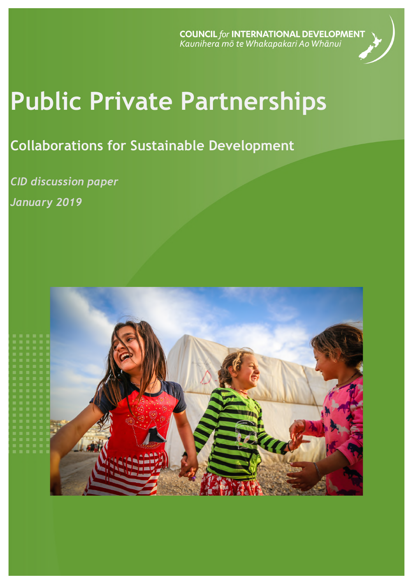**COUNCIL** for **INTERNATIONAL DEVELOPMENT**<br>Kaunihera mõ te Whakapakari Ao Whānui



# **Public Private Partnerships**

# **Collaborations for Sustainable Development**

*CID discussion paper January 2019*

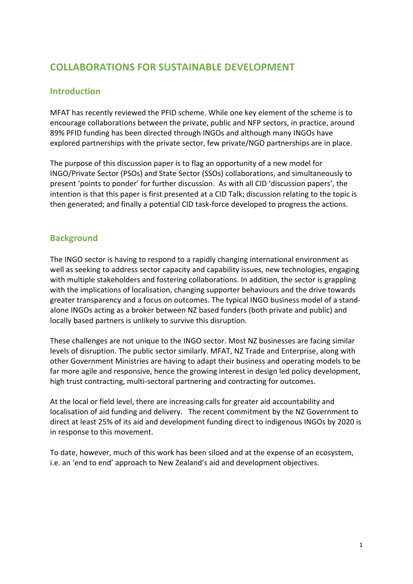# **COLLABORATIONS FOR SUSTAINABLE DEVELOPMENT**

## **Introduction**

MFAT has recently reviewed the PFID scheme. While one key element of the scheme is to encourage collaborations between the private, public and NFP sectors, in practice, around 89% PFID funding has been directed through INGOs and although many INGOs have explored partnerships with the private sector, few private/NGO partnerships are in place.

The purpose of this discussion paper is to flag an opportunity of a new model for INGO/Private Sector (PSOs) and State Sector (SSOs) collaborations, and simultaneously to present 'points to ponder' for further discussion. As with all CID 'discussion papers', the intention is that this paper is first presented at a CID Talk; discussion relating to the topic is then generated; and finally a potential CID task-force developed to progress the actions.

# **Background**

The INGO sector is having to respond to a rapidly changing international environment as well as seeking to address sector capacity and capability issues, new technologies, engaging with multiple stakeholders and fostering collaborations. In addition, the sector is grappling with the implications of localisation, changing supporter behaviours and the drive towards greater transparency and a focus on outcomes. The typical INGO business model of a standalone INGOs acting as a broker between NZ based funders (both private and public) and locally based partners is unlikely to survive this disruption.

These challenges are not unique to the INGO sector. Most NZ businesses are facing similar levels of disruption. The public sector similarly. MFAT, NZ Trade and Enterprise, along with other Government Ministries are having to adapt their business and operating models to be far more agile and responsive, hence the growing interest in design led policy development, high trust contracting, multi-sectoral partnering and contracting for outcomes.

At the local or field level, there are increasing calls for greater aid accountability and localisation of aid funding and delivery. The recent commitment by the NZ Government to direct at least 25% of its aid and development funding direct to indigenous INGOs by 2020 is in response to this movement.

To date, however, much of this work has been siloed and at the expense of an ecosystem, i.e. an 'end to end' approach to New Zealand's aid and development objectives.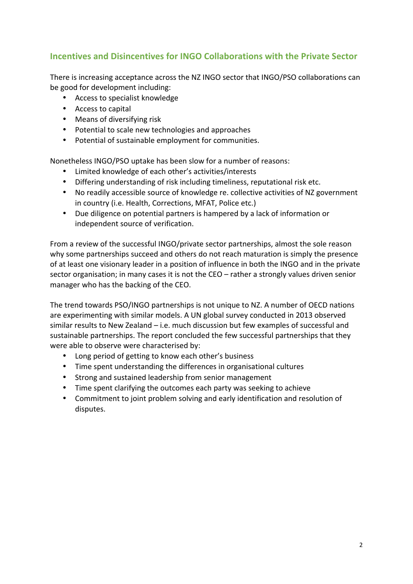# **Incentives and Disincentives for INGO Collaborations with the Private Sector**

There is increasing acceptance across the NZ INGO sector that INGO/PSO collaborations can be good for development including:

- Access to specialist knowledge
- Access to capital
- Means of diversifying risk
- Potential to scale new technologies and approaches
- Potential of sustainable employment for communities.

Nonetheless INGO/PSO uptake has been slow for a number of reasons:

- Limited knowledge of each other's activities/interests
- Differing understanding of risk including timeliness, reputational risk etc.
- No readily accessible source of knowledge re. collective activities of NZ government in country (i.e. Health, Corrections, MFAT, Police etc.)
- Due diligence on potential partners is hampered by a lack of information or independent source of verification.

From a review of the successful INGO/private sector partnerships, almost the sole reason why some partnerships succeed and others do not reach maturation is simply the presence of at least one visionary leader in a position of influence in both the INGO and in the private sector organisation; in many cases it is not the  $CEO -$  rather a strongly values driven senior manager who has the backing of the CEO.

The trend towards PSO/INGO partnerships is not unique to NZ. A number of OECD nations are experimenting with similar models. A UN global survey conducted in 2013 observed similar results to New Zealand  $-$  i.e. much discussion but few examples of successful and sustainable partnerships. The report concluded the few successful partnerships that they were able to observe were characterised by:

- Long period of getting to know each other's business
- Time spent understanding the differences in organisational cultures
- Strong and sustained leadership from senior management
- Time spent clarifying the outcomes each party was seeking to achieve
- Commitment to joint problem solving and early identification and resolution of disputes.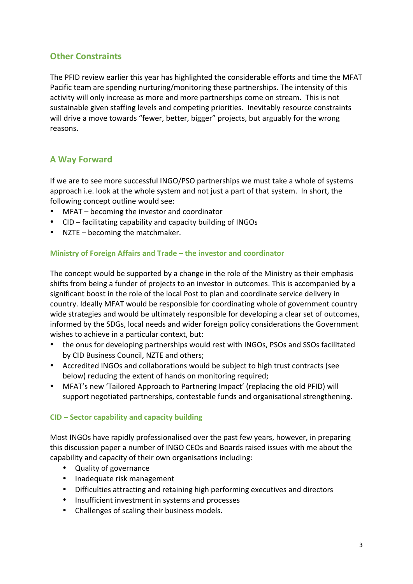# **Other Constraints**

The PFID review earlier this year has highlighted the considerable efforts and time the MFAT Pacific team are spending nurturing/monitoring these partnerships. The intensity of this activity will only increase as more and more partnerships come on stream. This is not sustainable given staffing levels and competing priorities. Inevitably resource constraints will drive a move towards "fewer, better, bigger" projects, but arguably for the wrong reasons. 

# **A Way Forward**

If we are to see more successful INGO/PSO partnerships we must take a whole of systems approach *i.e.* look at the whole system and not just a part of that system. In short, the following concept outline would see:

- MFAT becoming the investor and coordinator
- CID facilitating capability and capacity building of INGOs
- NZTE  $-$  becoming the matchmaker.

#### **Ministry of Foreign Affairs and Trade – the investor and coordinator**

The concept would be supported by a change in the role of the Ministry as their emphasis shifts from being a funder of projects to an investor in outcomes. This is accompanied by a significant boost in the role of the local Post to plan and coordinate service delivery in country. Ideally MFAT would be responsible for coordinating whole of government country wide strategies and would be ultimately responsible for developing a clear set of outcomes, informed by the SDGs, local needs and wider foreign policy considerations the Government wishes to achieve in a particular context, but:

- the onus for developing partnerships would rest with INGOs, PSOs and SSOs facilitated by CID Business Council, NZTE and others:
- Accredited INGOs and collaborations would be subject to high trust contracts (see below) reducing the extent of hands on monitoring required:
- MFAT's new 'Tailored Approach to Partnering Impact' (replacing the old PFID) will support negotiated partnerships, contestable funds and organisational strengthening.

#### **CID – Sector capability and capacity building**

Most INGOs have rapidly professionalised over the past few years, however, in preparing this discussion paper a number of INGO CEOs and Boards raised issues with me about the capability and capacity of their own organisations including:

- Quality of governance
- Inadequate risk management
- Difficulties attracting and retaining high performing executives and directors
- Insufficient investment in systems and processes
- Challenges of scaling their business models.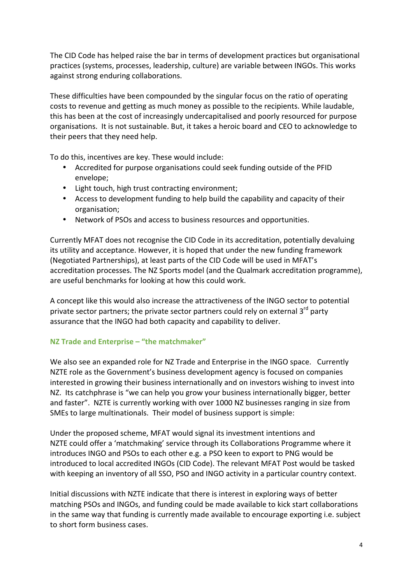The CID Code has helped raise the bar in terms of development practices but organisational practices (systems, processes, leadership, culture) are variable between INGOs. This works against strong enduring collaborations.

These difficulties have been compounded by the singular focus on the ratio of operating costs to revenue and getting as much money as possible to the recipients. While laudable, this has been at the cost of increasingly undercapitalised and poorly resourced for purpose organisations. It is not sustainable. But, it takes a heroic board and CEO to acknowledge to their peers that they need help.

To do this, incentives are key. These would include:

- Accredited for purpose organisations could seek funding outside of the PFID envelope;
- Light touch, high trust contracting environment;
- Access to development funding to help build the capability and capacity of their organisation;
- Network of PSOs and access to business resources and opportunities.

Currently MFAT does not recognise the CID Code in its accreditation, potentially devaluing its utility and acceptance. However, it is hoped that under the new funding framework (Negotiated Partnerships), at least parts of the CID Code will be used in MFAT's accreditation processes. The NZ Sports model (and the Qualmark accreditation programme), are useful benchmarks for looking at how this could work.

A concept like this would also increase the attractiveness of the INGO sector to potential private sector partners; the private sector partners could rely on external  $3^{rd}$  party assurance that the INGO had both capacity and capability to deliver.

#### **NZ Trade and Enterprise – "the matchmaker"**

We also see an expanded role for NZ Trade and Enterprise in the INGO space. Currently NZTE role as the Government's business development agency is focused on companies interested in growing their business internationally and on investors wishing to invest into NZ. Its catchphrase is "we can help you grow your business internationally bigger, better and faster". NZTE is currently working with over 1000 NZ businesses ranging in size from SMEs to large multinationals. Their model of business support is simple:

Under the proposed scheme, MFAT would signal its investment intentions and NZTE could offer a 'matchmaking' service through its Collaborations Programme where it introduces INGO and PSOs to each other e.g. a PSO keen to export to PNG would be introduced to local accredited INGOs (CID Code). The relevant MFAT Post would be tasked with keeping an inventory of all SSO, PSO and INGO activity in a particular country context.

Initial discussions with NZTE indicate that there is interest in exploring ways of better matching PSOs and INGOs, and funding could be made available to kick start collaborations in the same way that funding is currently made available to encourage exporting i.e. subject to short form business cases.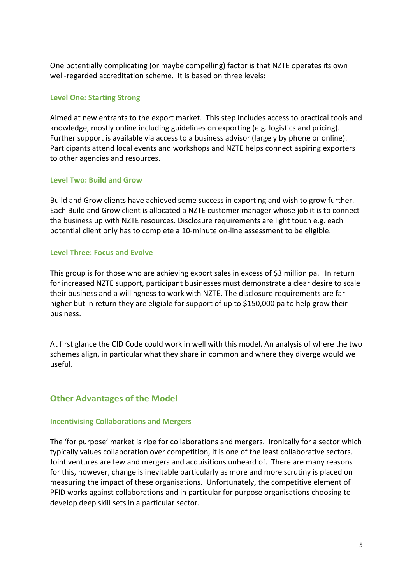One potentially complicating (or maybe compelling) factor is that NZTE operates its own well-regarded accreditation scheme. It is based on three levels:

#### **Level One: Starting Strong**

Aimed at new entrants to the export market. This step includes access to practical tools and knowledge, mostly online including guidelines on exporting  $(e.g.$  logistics and pricing). Further support is available via access to a business advisor (largely by phone or online). Participants attend local events and workshops and NZTE helps connect aspiring exporters to other agencies and resources.

#### Level Two: Build and Grow

Build and Grow clients have achieved some success in exporting and wish to grow further. Each Build and Grow client is allocated a NZTE customer manager whose job it is to connect the business up with NZTE resources. Disclosure requirements are light touch e.g. each potential client only has to complete a 10-minute on-line assessment to be eligible.

#### **Level Three: Focus and Evolve**

This group is for those who are achieving export sales in excess of \$3 million pa. In return for increased NZTE support, participant businesses must demonstrate a clear desire to scale their business and a willingness to work with NZTE. The disclosure requirements are far higher but in return they are eligible for support of up to \$150,000 pa to help grow their business.

At first glance the CID Code could work in well with this model. An analysis of where the two schemes align, in particular what they share in common and where they diverge would we useful.

#### **Other Advantages of the Model**

#### **Incentivising Collaborations and Mergers**

The 'for purpose' market is ripe for collaborations and mergers. Ironically for a sector which typically values collaboration over competition, it is one of the least collaborative sectors. Joint ventures are few and mergers and acquisitions unheard of. There are many reasons for this, however, change is inevitable particularly as more and more scrutiny is placed on measuring the impact of these organisations. Unfortunately, the competitive element of PFID works against collaborations and in particular for purpose organisations choosing to develop deep skill sets in a particular sector.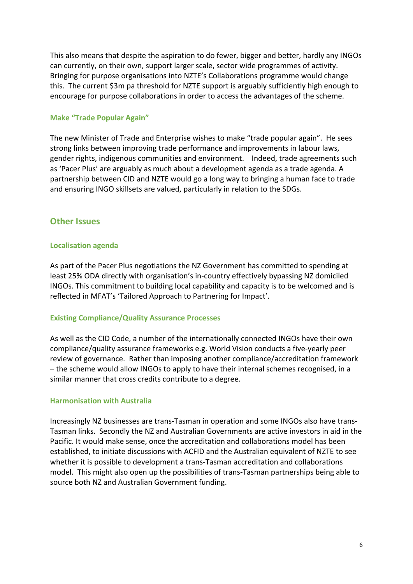This also means that despite the aspiration to do fewer, bigger and better, hardly any INGOs can currently, on their own, support larger scale, sector wide programmes of activity. Bringing for purpose organisations into NZTE's Collaborations programme would change this. The current \$3m pa threshold for NZTE support is arguably sufficiently high enough to encourage for purpose collaborations in order to access the advantages of the scheme.

#### **Make "Trade Popular Again"**

The new Minister of Trade and Enterprise wishes to make "trade popular again". He sees strong links between improving trade performance and improvements in labour laws, gender rights, indigenous communities and environment. Indeed, trade agreements such as 'Pacer Plus' are arguably as much about a development agenda as a trade agenda. A partnership between CID and NZTE would go a long way to bringing a human face to trade and ensuring INGO skillsets are valued, particularly in relation to the SDGs.

#### **Other Issues**

#### **Localisation agenda**

As part of the Pacer Plus negotiations the NZ Government has committed to spending at least 25% ODA directly with organisation's in-country effectively bypassing NZ domiciled INGOs. This commitment to building local capability and capacity is to be welcomed and is reflected in MFAT's 'Tailored Approach to Partnering for Impact'.

#### **Existing Compliance/Quality Assurance Processes**

As well as the CID Code, a number of the internationally connected INGOs have their own compliance/quality assurance frameworks e.g. World Vision conducts a five-yearly peer review of governance. Rather than imposing another compliance/accreditation framework – the scheme would allow INGOs to apply to have their internal schemes recognised, in a similar manner that cross credits contribute to a degree.

#### **Harmonisation with Australia**

Increasingly NZ businesses are trans-Tasman in operation and some INGOs also have trans-Tasman links. Secondly the NZ and Australian Governments are active investors in aid in the Pacific. It would make sense, once the accreditation and collaborations model has been established, to initiate discussions with ACFID and the Australian equivalent of NZTE to see whether it is possible to development a trans-Tasman accreditation and collaborations model. This might also open up the possibilities of trans-Tasman partnerships being able to source both NZ and Australian Government funding.